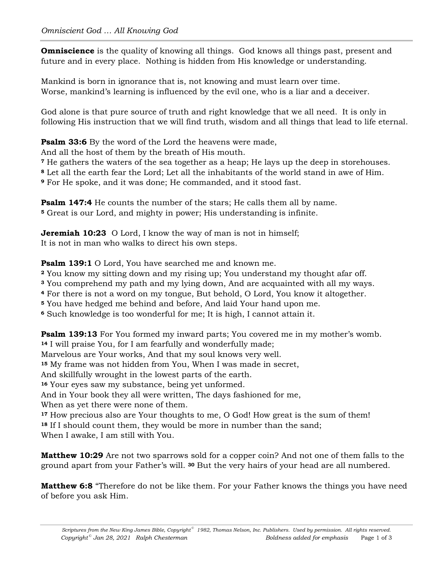**Omniscience** is the quality of knowing all things. God knows all things past, present and future and in every place. Nothing is hidden from His knowledge or understanding.

Mankind is born in ignorance that is, not knowing and must learn over time. Worse, mankind's learning is influenced by the evil one, who is a liar and a deceiver.

God alone is that pure source of truth and right knowledge that we all need. It is only in following His instruction that we will find truth, wisdom and all things that lead to life eternal.

**Psalm 33:6** By the word of the Lord the heavens were made,

And all the host of them by the breath of His mouth.

**<sup>7</sup>** He gathers the waters of the sea together as a heap; He lays up the deep in storehouses.

**<sup>8</sup>** Let all the earth fear the Lord; Let all the inhabitants of the world stand in awe of Him.

**<sup>9</sup>** For He spoke, and it was done; He commanded, and it stood fast.

**Psalm 147:4** He counts the number of the stars; He calls them all by name. **<sup>5</sup>** Great is our Lord, and mighty in power; His understanding is infinite.

**Jeremiah 10:23** O Lord, I know the way of man is not in himself; It is not in man who walks to direct his own steps.

**Psalm 139:1** O Lord, You have searched me and known me.

**<sup>2</sup>** You know my sitting down and my rising up; You understand my thought afar off.

**<sup>3</sup>** You comprehend my path and my lying down, And are acquainted with all my ways.

**<sup>4</sup>** For there is not a word on my tongue, But behold, O Lord, You know it altogether.

**<sup>5</sup>** You have hedged me behind and before, And laid Your hand upon me.

**<sup>6</sup>** Such knowledge is too wonderful for me; It is high, I cannot attain it.

**Psalm 139:13** For You formed my inward parts; You covered me in my mother's womb. **<sup>14</sup>** I will praise You, for I am fearfully and wonderfully made;

Marvelous are Your works, And that my soul knows very well.

**<sup>15</sup>** My frame was not hidden from You, When I was made in secret,

And skillfully wrought in the lowest parts of the earth.

**<sup>16</sup>** Your eyes saw my substance, being yet unformed.

And in Your book they all were written, The days fashioned for me,

When as yet there were none of them.

**<sup>17</sup>** How precious also are Your thoughts to me, O God! How great is the sum of them! **<sup>18</sup>** If I should count them, they would be more in number than the sand;

When I awake, I am still with You.

**Matthew 10:29** Are not two sparrows sold for a copper coin? And not one of them falls to the ground apart from your Father's will. **<sup>30</sup>** But the very hairs of your head are all numbered.

**Matthew 6:8** "Therefore do not be like them. For your Father knows the things you have need of before you ask Him.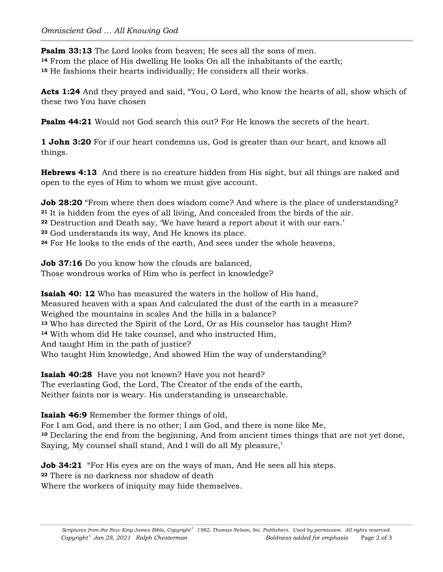**Psalm 33:13** The Lord looks from heaven; He sees all the sons of men. **<sup>14</sup>** From the place of His dwelling He looks On all the inhabitants of the earth; **<sup>15</sup>** He fashions their hearts individually; He considers all their works.

**Acts 1:24** And they prayed and said, "You, O Lord, who know the hearts of all, show which of these two You have chosen

**Psalm 44:21** Would not God search this out? For He knows the secrets of the heart.

**1 John 3:20** For if our heart condemns us, God is greater than our heart, and knows all things.

**Hebrews 4:13** And there is no creature hidden from His sight, but all things are naked and open to the eyes of Him to whom we must give account.

**Job 28:20** "From where then does wisdom come? And where is the place of understanding? **<sup>21</sup>** It is hidden from the eyes of all living, And concealed from the birds of the air.

**<sup>22</sup>** Destruction and Death say, 'We have heard a report about it with our ears.'

**<sup>23</sup>** God understands its way, And He knows its place.

**<sup>24</sup>** For He looks to the ends of the earth, And sees under the whole heavens,

**Job 37:16** Do you know how the clouds are balanced, Those wondrous works of Him who is perfect in knowledge?

**Isaiah 40: 12** Who has measured the waters in the hollow of His hand, Measured heaven with a span And calculated the dust of the earth in a measure? Weighed the mountains in scales And the hills in a balance? **<sup>13</sup>** Who has directed the Spirit of the Lord, Or as His counselor has taught Him? **<sup>14</sup>** With whom did He take counsel, and who instructed Him, And taught Him in the path of justice? Who taught Him knowledge, And showed Him the way of understanding?

**Isaiah 40:28** Have you not known? Have you not heard? The everlasting God, the Lord, The Creator of the ends of the earth, Neither faints nor is weary. His understanding is unsearchable.

**Isaiah 46:9** Remember the former things of old,

For I am God, and there is no other; I am God, and there is none like Me, **<sup>10</sup>** Declaring the end from the beginning, And from ancient times things that are not yet done, Saying, My counsel shall stand, And I will do all My pleasure,'

**Job 34:21** "For His eyes are on the ways of man, And He sees all his steps. **<sup>22</sup>** There is no darkness nor shadow of death Where the workers of iniquity may hide themselves.